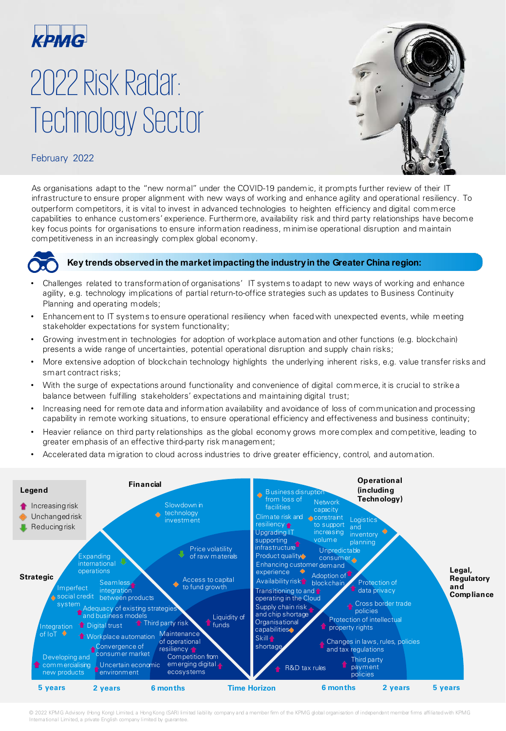

# 2022 Risk Radar: Technology Sector



### February 2022

As organisations adapt to the "new normal" under the COVID-19 pandemic, it prompts further review of their IT infrastructure to ensure proper alignment with new ways of working and enhance agility and operational resiliency. To outperform competitors, it is vital to invest in advanced technologies to heighten efficiency and digital commerce capabilities to enhance customers' experience. Furthermore, availability risk and third party relationships have become key focus points for organisations to ensure information readiness, minimise operational disruption and maintain competitiveness in an increasingly complex global economy.



#### **Key trends observedin the market impactingthe industryin the Greater China region:**

- Challenges related to transformation of organisations' IT systems to adapt to new ways of working and enhance agility, e.g. technology implications of partial return-to-office strategies such as updates to Business Continuity Planning and operating models;
- Enhancement to IT systems to ensure operational resiliency when faced with unexpected events, while meeting stakeholder expectations for system functionality;
- Growing investment in technologies for adoption of workplace automation and other functions (e.g. blockchain) presents a wide range of uncertainties, potential operational disruption and supply chain risks;
- More extensive adoption of blockchain technology highlights the underlying inherent risks, e.g. value transfer risks and smart contract risks;
- With the surge of expectations around functionality and convenience of digital commerce, it is crucial to strike a balance between fulfilling stakeholders' expectations and maintaining digital trust;
- Increasing need for remote data and information availability and avoidance of loss of communication and processing capability in remote working situations, to ensure operational efficiency and effectiveness and business continuity;
- Heavier reliance on third party relationships as the global economy grows more complex and competitive, leading to greater emphasis of an effective third-party risk management;
- Accelerated data migration to cloud across industries to drive greater efficiency, control, and automation.



© 2022 KPMG Advisory (Hong Kong) Limited, a Hong Kong (SAR) limited liability company and a member firm of the KPMG global organisation of independent member firms affiliated with KPMG<br>International Limited, a private Engl